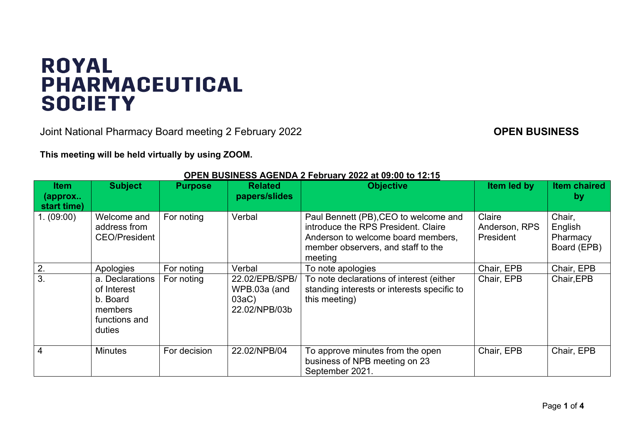## **ROYAL PHARMACEUTICAL SOCIETY**

Joint National Pharmacy Board meeting 2 February 2022 **CONDUMERTY CONNUMERTY COPEN BUSINESS** 

**This meeting will be held virtually by using ZOOM.**

| <b>Item</b><br>(approx<br>start time) | <b>Subject</b>                                                                   | <b>Purpose</b> | <b>Related</b><br>papers/slides                             | <b>Objective</b>                                                                                                                                                    | Item led by                                 | <b>Item chaired</b><br>by                    |
|---------------------------------------|----------------------------------------------------------------------------------|----------------|-------------------------------------------------------------|---------------------------------------------------------------------------------------------------------------------------------------------------------------------|---------------------------------------------|----------------------------------------------|
| 1. (09:00)                            | Welcome and<br>address from<br><b>CEO/President</b>                              | For noting     | Verbal                                                      | Paul Bennett (PB), CEO to welcome and<br>introduce the RPS President. Claire<br>Anderson to welcome board members,<br>member observers, and staff to the<br>meeting | Claire<br>Anderson, RPS<br><b>President</b> | Chair,<br>English<br>Pharmacy<br>Board (EPB) |
| 2.                                    | Apologies                                                                        | For noting     | Verbal                                                      | To note apologies                                                                                                                                                   | Chair, EPB                                  | Chair, EPB                                   |
| 3.                                    | a. Declarations<br>of Interest<br>b. Board<br>members<br>functions and<br>duties | For noting     | 22.02/EPB/SPB/<br>WPB.03a (and<br>$03aC$ )<br>22.02/NPB/03b | To note declarations of interest (either<br>standing interests or interests specific to<br>this meeting)                                                            | Chair, EPB                                  | Chair, EPB                                   |
| 4                                     | <b>Minutes</b>                                                                   | For decision   | 22.02/NPB/04                                                | To approve minutes from the open<br>business of NPB meeting on 23<br>September 2021.                                                                                | Chair, EPB                                  | Chair, EPB                                   |

## **OPEN BUSINESS AGENDA 2 February 2022 at 09:00 to 12:15**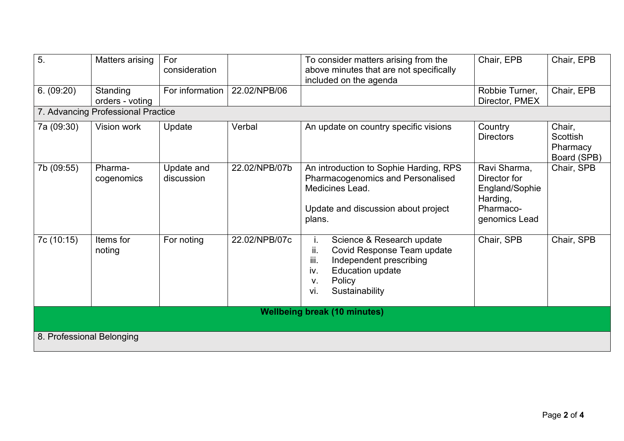| 5.                                  | Matters arising             | For<br>consideration     |               | To consider matters arising from the<br>above minutes that are not specifically<br>included on the agenda                                                                          | Chair, EPB                                                                               | Chair, EPB                                    |  |
|-------------------------------------|-----------------------------|--------------------------|---------------|------------------------------------------------------------------------------------------------------------------------------------------------------------------------------------|------------------------------------------------------------------------------------------|-----------------------------------------------|--|
| 6. (09:20)                          | Standing<br>orders - voting | For information          | 22.02/NPB/06  |                                                                                                                                                                                    | Robbie Turner,<br>Director, PMEX                                                         | Chair, EPB                                    |  |
| 7. Advancing Professional Practice  |                             |                          |               |                                                                                                                                                                                    |                                                                                          |                                               |  |
| 7a (09:30)                          | Vision work                 | Update                   | Verbal        | An update on country specific visions                                                                                                                                              | Country<br><b>Directors</b>                                                              | Chair,<br>Scottish<br>Pharmacy<br>Board (SPB) |  |
| 7b (09:55)                          | Pharma-<br>cogenomics       | Update and<br>discussion | 22.02/NPB/07b | An introduction to Sophie Harding, RPS<br>Pharmacogenomics and Personalised<br>Medicines Lead.<br>Update and discussion about project<br>plans.                                    | Ravi Sharma,<br>Director for<br>England/Sophie<br>Harding,<br>Pharmaco-<br>genomics Lead | Chair, SPB                                    |  |
| 7c (10:15)                          | Items for<br>noting         | For noting               | 22.02/NPB/07c | Science & Research update<br>İ.<br>ii.<br>Covid Response Team update<br>iii.<br>Independent prescribing<br><b>Education update</b><br>iv.<br>Policy<br>V.<br>vi.<br>Sustainability | Chair, SPB                                                                               | Chair, SPB                                    |  |
| <b>Wellbeing break (10 minutes)</b> |                             |                          |               |                                                                                                                                                                                    |                                                                                          |                                               |  |
|                                     |                             |                          |               |                                                                                                                                                                                    |                                                                                          |                                               |  |
| 8. Professional Belonging           |                             |                          |               |                                                                                                                                                                                    |                                                                                          |                                               |  |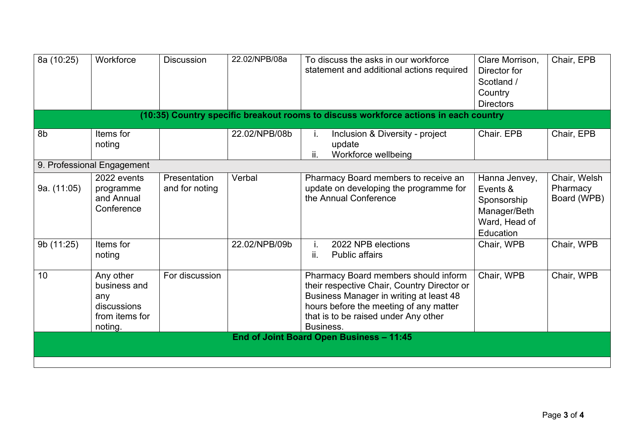| 8a (10:25)                                                                           | Workforce                                                                    | <b>Discussion</b>              | 22.02/NPB/08a | To discuss the asks in our workforce<br>statement and additional actions required                                                                                                                                             | Clare Morrison,<br>Director for<br>Scotland /<br>Country<br><b>Directors</b>           | Chair, EPB                              |  |  |
|--------------------------------------------------------------------------------------|------------------------------------------------------------------------------|--------------------------------|---------------|-------------------------------------------------------------------------------------------------------------------------------------------------------------------------------------------------------------------------------|----------------------------------------------------------------------------------------|-----------------------------------------|--|--|
| (10:35) Country specific breakout rooms to discuss workforce actions in each country |                                                                              |                                |               |                                                                                                                                                                                                                               |                                                                                        |                                         |  |  |
| 8b                                                                                   | Items for<br>noting                                                          |                                | 22.02/NPB/08b | Inclusion & Diversity - project<br>Ι.<br>update<br>ii.<br>Workforce wellbeing                                                                                                                                                 | Chair. EPB                                                                             | Chair, EPB                              |  |  |
|                                                                                      | 9. Professional Engagement                                                   |                                |               |                                                                                                                                                                                                                               |                                                                                        |                                         |  |  |
| 9a. (11:05)                                                                          | 2022 events<br>programme<br>and Annual<br>Conference                         | Presentation<br>and for noting | Verbal        | Pharmacy Board members to receive an<br>update on developing the programme for<br>the Annual Conference                                                                                                                       | Hanna Jenvey,<br>Events &<br>Sponsorship<br>Manager/Beth<br>Ward, Head of<br>Education | Chair, Welsh<br>Pharmacy<br>Board (WPB) |  |  |
| 9b (11:25)                                                                           | Items for<br>noting                                                          |                                | 22.02/NPB/09b | 2022 NPB elections<br>i.<br><b>Public affairs</b><br>ii.                                                                                                                                                                      | Chair, WPB                                                                             | Chair, WPB                              |  |  |
| 10                                                                                   | Any other<br>business and<br>any<br>discussions<br>from items for<br>noting. | For discussion                 |               | Pharmacy Board members should inform<br>their respective Chair, Country Director or<br>Business Manager in writing at least 48<br>hours before the meeting of any matter<br>that is to be raised under Any other<br>Business. | Chair, WPB                                                                             | Chair, WPB                              |  |  |
|                                                                                      |                                                                              |                                |               | End of Joint Board Open Business - 11:45                                                                                                                                                                                      |                                                                                        |                                         |  |  |